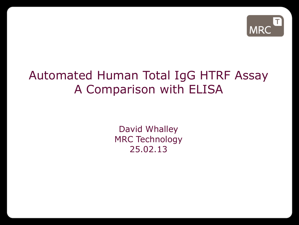

## Automated Human Total IgG HTRF Assay A Comparison with ELISA

David Whalley MRC Technology 25.02.13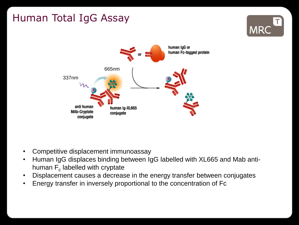# Human Total IgG Assay





- Competitive displacement immunoassay
- Human IgG displaces binding between IgG labelled with XL665 and Mab antihuman  $\mathsf{F}_{\operatorname{c}}$  labelled with cryptate
- Displacement causes a decrease in the energy transfer between conjugates
- Energy transfer in inversely proportional to the concentration of Fc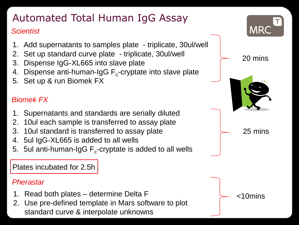# Automated Total Human IgG Assay

#### *Scientist*

- 1. Add supernatants to samples plate triplicate, 30ul/well
- 2. Set up standard curve plate triplicate, 30ul/well
- 3. Dispense IgG-XL665 into slave plate
- 4. Dispense anti-human-IgG  $\mathsf{F}_{\mathsf{c}}$ -cryptate into slave plate
- 5. Set up & run Biomek FX

### *Biomek FX*

- 1. Supernatants and standards are serially diluted
- 2. 10ul each sample is transferred to assay plate
- 3. 10ul standard is transferred to assay plate
- 4. 5ul IgG-XL665 is added to all wells
- 5. 5ul anti-human-IgG  $\mathsf{F}_{\mathsf{c}}$ -cryptate is added to all wells

Plates incubated for 2.5h

#### *Pherastar*

- 1. Read both plates determine Delta F
- 2. Use pre-defined template in Mars software to plot standard curve & interpolate unknowns

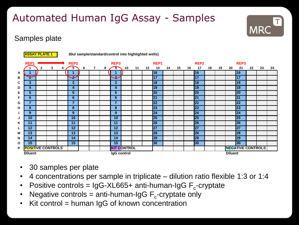## Automated Human IgG Assay - Samples



### Samples plate



- 30 samples per plate
- 4 concentrations per sample in triplicate dilution ratio flexible 1:3 or 1:4
- Positive controls = IgG-XL665+ anti-human-IgG  $F_c$ -cryptate
- Negative controls = anti-human-IgG  $F_c$ -cryptate only
- Kit control  $=$  human IgG of known concentration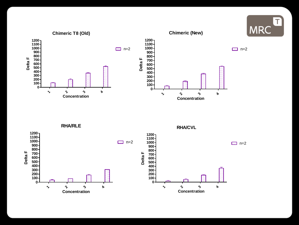

**RHA/RLE**

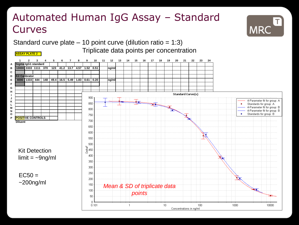### Automated Human IgG Assay – Standard **Curves**



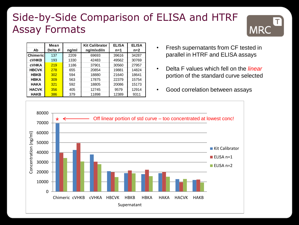### Side-by-Side Comparison of ELISA and HTRF Assay Formats



|                  | Mean    |       | <b>Kit Calibrator</b> | <b>ELISA</b> | <b>ELISA</b> |
|------------------|---------|-------|-----------------------|--------------|--------------|
| Ab               | Delta F | ng/ml | ng/mlxdiln            | $n=1$        | $n=2$        |
| <b>Chimericl</b> | 137     | 2209  | 69693                 | 39616        | 34287        |
| <b>cVHKB</b>     | 193     | 1330  | 42483                 | 49562        | 30769        |
| <b>CVHKA</b>     | 219     | 1186  | 37901                 | 30560        | 27957        |
| <b>HBCVK</b>     | 278     | 655   | 20854                 | 19881        | 14824        |
| <b>HBKB</b>      | 302     | 594   | 18880                 | 21640        | 18641        |
| <b>HBKA</b>      | 309     | 563   | 17875                 | 22379        | 15754        |
| <b>HAKA</b>      | 321     | 592   | 18805                 | 20086        | 15173        |
| <b>HACVK</b>     | 356     | 405   | 12745                 | 9579         | 12914        |
| <b>HAKB</b>      | 386     | 379   | 11898                 | 12389        | 9311         |

- Fresh supernatants from CF tested in parallel in HTRF and ELISA assays
- Delta F values which fell on the *linear* portion of the standard curve selected
- Good correlation between assays

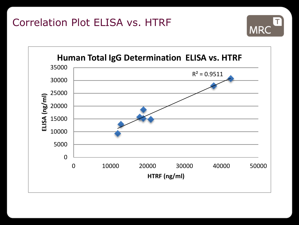

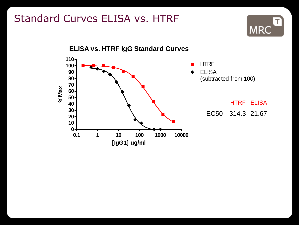## Standard Curves ELISA vs. HTRF